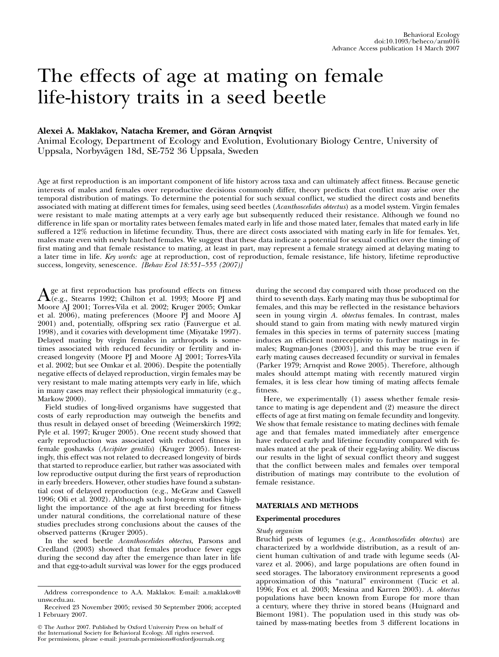# The effects of age at mating on female life-history traits in a seed beetle

# Alexei A. Maklakov, Natacha Kremer, and Göran Arnqvist

Animal Ecology, Department of Ecology and Evolution, Evolutionary Biology Centre, University of Uppsala, Norbyvägen 18d, SE-752 36 Uppsala, Sweden

Age at first reproduction is an important component of life history across taxa and can ultimately affect fitness. Because genetic interests of males and females over reproductive decisions commonly differ, theory predicts that conflict may arise over the temporal distribution of matings. To determine the potential for such sexual conflict, we studied the direct costs and benefits associated with mating at different times for females, using seed beetles (Acanthoscelides obtectus) as a model system. Virgin females were resistant to male mating attempts at a very early age but subsequently reduced their resistance. Although we found no difference in life span or mortality rates between females mated early in life and those mated later, females that mated early in life suffered a 12% reduction in lifetime fecundity. Thus, there are direct costs associated with mating early in life for females. Yet, males mate even with newly hatched females. We suggest that these data indicate a potential for sexual conflict over the timing of first mating and that female resistance to mating, at least in part, may represent a female strategy aimed at delaying mating to a later time in life. Key words: age at reproduction, cost of reproduction, female resistance, life history, lifetime reproductive success, longevity, senescence. [Behav Ecol 18:551-555 (2007)]

 $A_{\text{(e.g., Stearns 1992; Chilton et al. 1993; Moore PJ and  $M_{\text{core}} M_{\text{1900L}} T_{\text{source}} V_{\text{right.}}^2$$ Moore AJ 2001; Torres-Vila et al. 2002; Kruger 2005; Omkar et al. 2006), mating preferences (Moore PJ and Moore AJ 2001) and, potentially, offspring sex ratio (Fauvergue et al. 1998), and it covaries with development time (Miyatake 1997). Delayed mating by virgin females in arthropods is sometimes associated with reduced fecundity or fertility and increased longevity (Moore PJ and Moore AJ 2001; Torres-Vila et al. 2002; but see Omkar et al. 2006). Despite the potentially negative effects of delayed reproduction, virgin females may be very resistant to male mating attempts very early in life, which in many cases may reflect their physiological immaturity (e.g., Markow 2000).

Field studies of long-lived organisms have suggested that costs of early reproduction may outweigh the benefits and thus result in delayed onset of breeding (Weimerskirch 1992; Pyle et al. 1997; Kruger 2005). One recent study showed that early reproduction was associated with reduced fitness in female goshawks (Accipiter gentilis) (Kruger 2005). Interestingly, this effect was not related to decreased longevity of birds that started to reproduce earlier, but rather was associated with low reproductive output during the first years of reproduction in early breeders. However, other studies have found a substantial cost of delayed reproduction (e.g., McGraw and Caswell 1996; Oli et al. 2002). Although such long-term studies highlight the importance of the age at first breeding for fitness under natural conditions, the correlational nature of these studies precludes strong conclusions about the causes of the observed patterns (Kruger 2005).

In the seed beetle Acanthoscelides obtectus, Parsons and Credland (2003) showed that females produce fewer eggs during the second day after the emergence than later in life and that egg-to-adult survival was lower for the eggs produced

 The Author 2007. Published by Oxford University Press on behalf of the International Society for Behavioral Ecology. All rights reserved. For permissions, please e-mail: journals.permissions@oxfordjournals.org during the second day compared with those produced on the third to seventh days. Early mating may thus be suboptimal for females, and this may be reflected in the resistance behaviors seen in young virgin A. obtectus females. In contrast, males should stand to gain from mating with newly matured virgin females in this species in terms of paternity success [mating induces an efficient nonreceptivity to further matings in females; Rugman-Jones (2003)], and this may be true even if early mating causes decreased fecundity or survival in females (Parker 1979; Arnqvist and Rowe 2005). Therefore, although males should attempt mating with recently matured virgin females, it is less clear how timing of mating affects female fitness.

Here, we experimentally (1) assess whether female resistance to mating is age dependent and (2) measure the direct effects of age at first mating on female fecundity and longevity. We show that female resistance to mating declines with female age and that females mated immediately after emergence have reduced early and lifetime fecundity compared with females mated at the peak of their egg-laying ability. We discuss our results in the light of sexual conflict theory and suggest that the conflict between males and females over temporal distribution of matings may contribute to the evolution of female resistance.

# MATERIALS AND METHODS

## Experimental procedures

#### Study organism

Bruchid pests of legumes (e.g., Acanthoscelides obtectus) are characterized by a worldwide distribution, as a result of ancient human cultivation of and trade with legume seeds (Alvarez et al. 2006), and large populations are often found in seed storages. The laboratory environment represents a good approximation of this "natural" environment (Tucic et al. 1996; Fox et al. 2003; Messina and Karren 2003). A. obtectus populations have been known from Europe for more than a century, where they thrive in stored beans (Huignard and Biemont 1981). The population used in this study was obtained by mass-mating beetles from 3 different locations in

Address correspondence to A.A. Maklakov. E-mail: a.maklakov@ unsw.edu.au.

Received 23 November 2005; revised 30 September 2006; accepted 1 February 2007.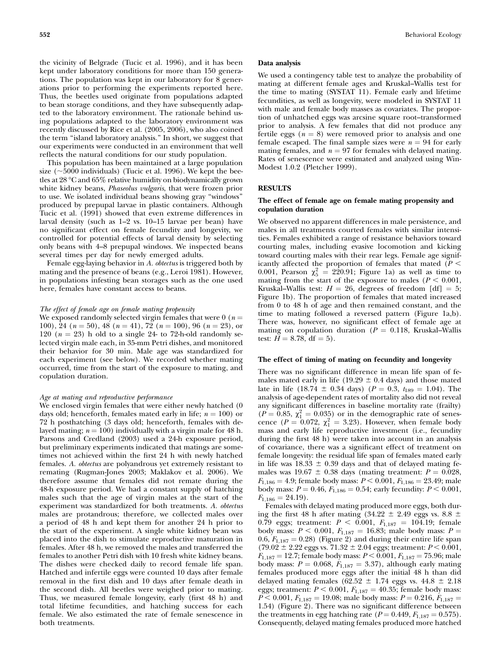the vicinity of Belgrade (Tucic et al. 1996), and it has been kept under laboratory conditions for more than 150 generations. The population was kept in our laboratory for 8 generations prior to performing the experiments reported here. Thus, the beetles used originate from populations adapted to bean storage conditions, and they have subsequently adapted to the laboratory environment. The rationale behind using populations adapted to the laboratory environment was recently discussed by Rice et al. (2005, 2006), who also coined the term ''island laboratory analysis.'' In short, we suggest that our experiments were conducted in an environment that well reflects the natural conditions for our study population.

This population has been maintained at a large population size ( $\sim$ 5000 individuals) (Tucic et al. 1996). We kept the beetles at 28 °C and 65% relative humidity on biodynamically grown white kidney beans, Phaseolus vulgaris, that were frozen prior to use. We isolated individual beans showing gray ''windows'' produced by prepupal larvae in plastic containers. Although Tucic et al. (1991) showed that even extreme differences in larval density (such as 1–2 vs. 10–15 larvae per bean) have no significant effect on female fecundity and longevity, we controlled for potential effects of larval density by selecting only beans with 4–8 prepupal windows. We inspected beans several times per day for newly emerged adults.

Female egg-laying behavior in A. obtectus is triggered both by mating and the presence of beans (e.g., Leroi 1981). However, in populations infesting bean storages such as the one used here, females have constant access to beans.

## The effect of female age on female mating propensity

We exposed randomly selected virgin females that were 0 ( $n =$ 100), 24 ( $n = 50$ ), 48 ( $n = 41$ ), 72 ( $n = 100$ ), 96 ( $n = 23$ ), or 120 ( $n = 23$ ) h old to a single 24- to 72-h-old randomly selected virgin male each, in 35-mm Petri dishes, and monitored their behavior for 30 min. Male age was standardized for each experiment (see below). We recorded whether mating occurred, time from the start of the exposure to mating, and copulation duration.

#### Age at mating and reproductive performance

We enclosed virgin females that were either newly hatched (0 days old; henceforth, females mated early in life;  $n = 100$ ) or 72 h posthatching (3 days old; henceforth, females with delayed mating;  $n = 100$ ) individually with a virgin male for 48 h. Parsons and Credland (2003) used a 24-h exposure period, but preliminary experiments indicated that matings are sometimes not achieved within the first 24 h with newly hatched females. A. obtectus are polyandrous yet extremely resistant to remating (Rugman-Jones 2003; Maklakov et al. 2006). We therefore assume that females did not remate during the 48-h exposure period. We had a constant supply of hatching males such that the age of virgin males at the start of the experiment was standardized for both treatments. A. obtectus males are protandrous; therefore, we collected males over a period of 48 h and kept them for another 24 h prior to the start of the experiment. A single white kidney bean was placed into the dish to stimulate reproductive maturation in females. After 48 h, we removed the males and transferred the females to another Petri dish with 10 fresh white kidney beans. The dishes were checked daily to record female life span. Hatched and infertile eggs were counted 10 days after female removal in the first dish and 10 days after female death in the second dish. All beetles were weighed prior to mating. Thus, we measured female longevity, early (first 48 h) and total lifetime fecundities, and hatching success for each female. We also estimated the rate of female senescence in both treatments.

## Data analysis

We used a contingency table test to analyze the probability of mating at different female ages and Kruskal–Wallis test for the time to mating (SYSTAT 11). Female early and lifetime fecundities, as well as longevity, were modeled in SYSTAT 11 with male and female body masses as covariates. The proportion of unhatched eggs was arcsine square root–transformed prior to analysis. A few females that did not produce any fertile eggs  $(n = 8)$  were removed prior to analysis and one female escaped. The final sample sizes were  $n = 94$  for early mating females, and  $n = 97$  for females with delayed mating. Rates of senescence were estimated and analyzed using Win-Modest 1.0.2 (Pletcher 1999).

## RESULTS

## The effect of female age on female mating propensity and copulation duration

We observed no apparent differences in male persistence, and males in all treatments courted females with similar intensities. Females exhibited a range of resistance behaviors toward courting males, including evasive locomotion and kicking toward courting males with their rear legs. Female age significantly affected the proportion of females that mated ( $P <$ 0.001, Pearson  $\chi^2_5 = 220.91$ ; Figure 1a) as well as time to mating from the start of the exposure to males ( $P < 0.001$ , Kruskal–Wallis test:  $H = 26$ , degrees of freedom [df] = 5; Figure 1b). The proportion of females that mated increased from 0 to 48 h of age and then remained constant, and the time to mating followed a reversed pattern (Figure 1a,b). There was, however, no significant effect of female age at mating on copulation duration ( $P = 0.118$ , Kruskal–Wallis test:  $H = 8.78$ , df = 5).

#### The effect of timing of mating on fecundity and longevity

There was no significant difference in mean life span of females mated early in life (19.29  $\pm$  0.4 days) and those mated late in life (18.74  $\pm$  0.34 days) ( $P = 0.3$ ,  $t_{189} = 1.04$ ). The analysis of age-dependent rates of mortality also did not reveal any significant differences in baseline mortality rate (frailty)  $(P = 0.85, \chi_1^2 = 0.035)$  or in the demographic rate of senescence ( $P = 0.072$ ,  $\chi_1^2 = 3.23$ ). However, when female body mass and early life reproductive investment (i.e., fecundity during the first 48 h) were taken into account in an analysis of covariance, there was a significant effect of treatment on female longevity: the residual life span of females mated early in life was  $18.33 \pm 0.39$  days and that of delayed mating females was 19.67  $\pm$  0.38 days (mating treatment:  $P = 0.028$ ,  $F_{1,186} = 4.9$ ; female body mass:  $P < 0.001$ ,  $F_{1,186} = 23.49$ ; male body mass:  $P = 0.46$ ,  $F_{1,186} = 0.54$ ; early fecundity:  $P \le 0.001$ ,  $F_{1,186} = 24.19$ .

Females with delayed mating produced more eggs, both during the first 48 h after mating (34.22  $\pm$  2.49 eggs vs. 8.8  $\pm$ 0.79 eggs; treatment:  $P < 0.001$ ,  $F_{1,187} = 104.19$ ; female body mass:  $P < 0.001$ ,  $F_{1,187} = 16.83$ ; male body mass:  $P =$ 0.6,  $F_{1,187} = 0.28$ ) (Figure 2) and during their entire life span  $(79.02 \pm 2.22$  eggs vs. 71.32  $\pm$  2.04 eggs; treatment:  $P < 0.001$ ,  $F_{1,187} = 12.7$ ; female body mass:  $P < 0.001$ ,  $F_{1,187} = 75.96$ ; male body mass:  $P = 0.068$ ,  $F_{1,187} = 3.37$ , although early mating females produced more eggs after the initial 48 h than did delayed mating females ( $62.52 \pm 1.74$  eggs vs.  $44.8 \pm 2.18$ eggs; treatment:  $P < 0.001$ ,  $F_{1,187} = 40.35$ ; female body mass:  $\widetilde{P}$  < 0.001,  $F_{1,187}$  = 19.08; male body mass:  $P = 0.216$ ,  $F_{1,187}$  = 1.54) (Figure 2). There was no significant difference between the treatments in egg hatching rate ( $P = 0.449, F_{1,187} = 0.575$ ). Consequently, delayed mating females produced more hatched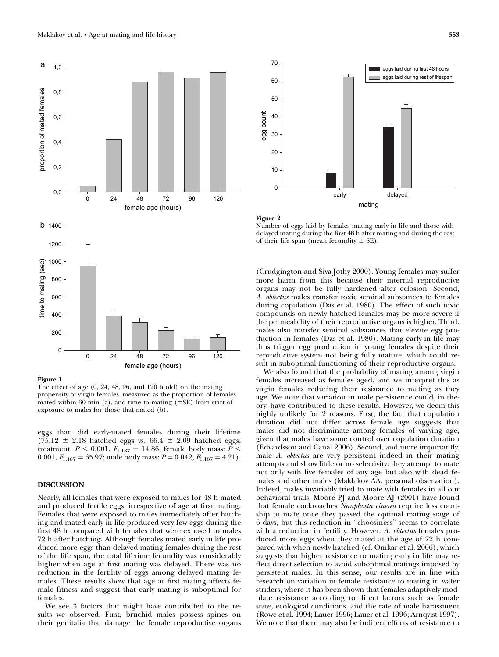

Figure 1

The effect of age (0, 24, 48, 96, and 120 h old) on the mating propensity of virgin females, measured as the proportion of females mated within 30 min (a), and time to mating  $(\pm SE)$  from start of exposure to males for those that mated (b).

eggs than did early-mated females during their lifetime (75.12  $\pm$  2.18 hatched eggs vs. 66.4  $\pm$  2.09 hatched eggs; treatment:  $P < 0.001$ ,  $F_{1,187} = 14.86$ ; female body mass:  $P <$ 0.001,  $F_{1,187} = 65.97$ ; male body mass:  $P = 0.042$ ,  $F_{1,187} = 4.21$ .

# DISCUSSION

Nearly, all females that were exposed to males for 48 h mated and produced fertile eggs, irrespective of age at first mating. Females that were exposed to males immediately after hatching and mated early in life produced very few eggs during the first 48 h compared with females that were exposed to males 72 h after hatching. Although females mated early in life produced more eggs than delayed mating females during the rest of the life span, the total lifetime fecundity was considerably higher when age at first mating was delayed. There was no reduction in the fertility of eggs among delayed mating females. These results show that age at first mating affects female fitness and suggest that early mating is suboptimal for females.

We see 3 factors that might have contributed to the results we observed. First, bruchid males possess spines on their genitalia that damage the female reproductive organs



Figure 2

Number of eggs laid by females mating early in life and those with delayed mating during the first 48 h after mating and during the rest of their life span (mean fecundity  $\pm$  SE).

(Crudgington and Siva-Jothy 2000). Young females may suffer more harm from this because their internal reproductive organs may not be fully hardened after eclosion. Second, A. obtectus males transfer toxic seminal substances to females during copulation (Das et al. 1980). The effect of such toxic compounds on newly hatched females may be more severe if the permeability of their reproductive organs is higher. Third, males also transfer seminal substances that elevate egg production in females (Das et al. 1980). Mating early in life may thus trigger egg production in young females despite their reproductive system not being fully mature, which could result in suboptimal functioning of their reproductive organs.

We also found that the probability of mating among virgin females increased as females aged, and we interpret this as virgin females reducing their resistance to mating as they age. We note that variation in male persistence could, in theory, have contributed to these results. However, we deem this highly unlikely for 2 reasons. First, the fact that copulation duration did not differ across female age suggests that males did not discriminate among females of varying age, given that males have some control over copulation duration (Edvardsson and Canal 2006). Second, and more importantly, male A. obtectus are very persistent indeed in their mating attempts and show little or no selectivity: they attempt to mate not only with live females of any age but also with dead females and other males (Maklakov AA, personal observation). Indeed, males invariably tried to mate with females in all our behavioral trials. Moore PJ and Moore AJ (2001) have found that female cockroaches Nauphoeta cinerea require less courtship to mate once they passed the optimal mating stage of 6 days, but this reduction in ''choosiness'' seems to correlate with a reduction in fertility. However, A. *obtectus* females produced more eggs when they mated at the age of 72 h compared with when newly hatched (cf. Omkar et al. 2006), which suggests that higher resistance to mating early in life may reflect direct selection to avoid suboptimal matings imposed by persistent males. In this sense, our results are in line with research on variation in female resistance to mating in water striders, where it has been shown that females adaptively modulate resistance according to direct factors such as female state, ecological conditions, and the rate of male harassment (Rowe et al. 1994; Lauer 1996; Lauer et al. 1996; Arnqvist 1997). We note that there may also be indirect effects of resistance to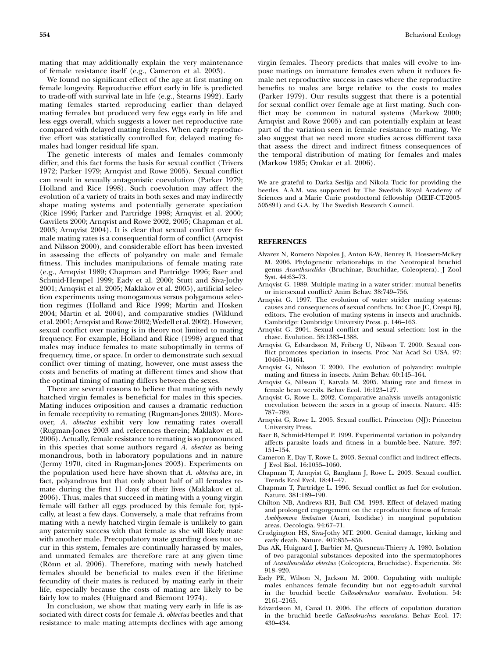mating that may additionally explain the very maintenance of female resistance itself (e.g., Cameron et al. 2003).

We found no significant effect of the age at first mating on female longevity. Reproductive effort early in life is predicted to trade-off with survival late in life (e.g., Stearns 1992). Early mating females started reproducing earlier than delayed mating females but produced very few eggs early in life and less eggs overall, which suggests a lower net reproductive rate compared with delayed mating females. When early reproductive effort was statistically controlled for, delayed mating females had longer residual life span.

The genetic interests of males and females commonly differ, and this fact forms the basis for sexual conflict (Trivers 1972; Parker 1979; Arnqvist and Rowe 2005). Sexual conflict can result in sexually antagonistic coevolution (Parker 1979; Holland and Rice 1998). Such coevolution may affect the evolution of a variety of traits in both sexes and may indirectly shape mating systems and potentially generate speciation (Rice 1996; Parker and Partridge 1998; Arnqvist et al. 2000; Gavrilets 2000; Arnqvist and Rowe 2002, 2005; Chapman et al. 2003; Arnqvist 2004). It is clear that sexual conflict over female mating rates is a consequential form of conflict (Arnqvist and Nilsson 2000), and considerable effort has been invested in assessing the effects of polyandry on male and female fitness. This includes manipulations of female mating rate (e.g., Arnqvist 1989; Chapman and Partridge 1996; Baer and Schmid-Hempel 1999; Eady et al. 2000; Stutt and Siva-Jothy 2001; Arnqvist et al. 2005; Maklakov et al. 2005), artificial selection experiments using monogamous versus polygamous selection regimes (Holland and Rice 1999; Martin and Hosken 2004; Martin et al. 2004), and comparative studies (Wiklund et al. 2001; Arnqvist and Rowe 2002; Wedell et al. 2002). However, sexual conflict over mating is in theory not limited to mating frequency. For example, Holland and Rice (1998) argued that males may induce females to mate suboptimally in terms of frequency, time, or space. In order to demonstrate such sexual conflict over timing of mating, however, one must assess the costs and benefits of mating at different times and show that the optimal timing of mating differs between the sexes.

There are several reasons to believe that mating with newly hatched virgin females is beneficial for males in this species. Mating induces oviposition and causes a dramatic reduction in female receptivity to remating (Rugman-Jones 2003). Moreover, A. obtectus exhibit very low remating rates overall (Rugman-Jones 2003 and references therein; Maklakov et al. 2006). Actually, female resistance to remating is so pronounced in this species that some authors regard A. obectus as being monandrous, both in laboratory populations and in nature (Jermy 1970, cited in Rugman-Jones 2003). Experiments on the population used here have shown that A. obtectus are, in fact, polyandrous but that only about half of all females remate during the first 11 days of their lives (Maklakov et al. 2006). Thus, males that succeed in mating with a young virgin female will father all eggs produced by this female for, typically, at least a few days. Conversely, a male that refrains from mating with a newly hatched virgin female is unlikely to gain any paternity success with that female as she will likely mate with another male. Precopulatory mate guarding does not occur in this system, females are continually harassed by males, and unmated females are therefore rare at any given time (Rönn et al. 2006). Therefore, mating with newly hatched females should be beneficial to males even if the lifetime fecundity of their mates is reduced by mating early in their life, especially because the costs of mating are likely to be fairly low to males (Huignard and Biemont 1974).

In conclusion, we show that mating very early in life is associated with direct costs for female A. obtectus beetles and that resistance to male mating attempts declines with age among

virgin females. Theory predicts that males will evolve to impose matings on immature females even when it reduces female net reproductive success in cases where the reproductive benefits to males are large relative to the costs to males (Parker 1979). Our results suggest that there is a potential for sexual conflict over female age at first mating. Such conflict may be common in natural systems (Markow 2000; Arnqvist and Rowe 2005) and can potentially explain at least part of the variation seen in female resistance to mating. We also suggest that we need more studies across different taxa that assess the direct and indirect fitness consequences of the temporal distribution of mating for females and males (Markow 1985; Omkar et al. 2006).

We are grateful to Darka Seslija and Nikola Tucic for providing the beetles. A.A.M. was supported by The Swedish Royal Academy of Sciences and a Marie Curie postdoctoral fellowship (MEIF-CT-2003- 505891) and G.A. by The Swedish Research Council.

### **REFERENCES**

- Alvarez N, Romero Napoles J, Anton K-W, Benrey B, Hossaert-McKey M. 2006. Phylogenetic relationships in the Neotropical bruchid genus Acanthoscelides (Bruchinae, Bruchidae, Coleoptera). J Zool Syst. 44:63–73.
- Arnqvist G. 1989. Multiple mating in a water strider: mutual benefits or intersexual conflict? Anim Behav. 38:749–756.
- Arnqvist G. 1997. The evolution of water strider mating systems: causes and consequences of sexual conflicts. In: Choe JC, Crespi BJ, editors. The evolution of mating systems in insects and arachnids. Cambridge: Cambridge University Press. p. 146–163.
- Arnqvist G. 2004. Sexual conflict and sexual selection: lost in the chase. Evolution. 58:1383–1388.
- Arnqvist G, Edvardsson M, Friberg U, Nilsson T. 2000. Sexual conflict promotes speciation in insects. Proc Nat Acad Sci USA. 97: 10460–10464.
- Arnqvist G, Nilsson T. 2000. The evolution of polyandry: multiple mating and fitness in insects. Anim Behav. 60:145–164.
- Arnqvist G, Nilsson T, Katvala M. 2005. Mating rate and fitness in female bean weevils. Behav Ecol. 16:123–127.
- Arnqvist G, Rowe L. 2002. Comparative analysis unveils antagonistic coevolution between the sexes in a group of insects. Nature. 415: 787–789.
- Arnqvist G, Rowe L. 2005. Sexual conflict. Princeton (NJ): Princeton University Press.
- Baer B, Schmid-Hempel P. 1999. Experimental variation in polyandry affects parasite loads and fitness in a bumble-bee. Nature. 397: 151–154.
- Cameron E, Day T, Rowe L. 2003. Sexual conflict and indirect effects. J Evol Biol. 16:1055–1060.
- Chapman T, Arnqvist G, Bangham J, Rowe L. 2003. Sexual conflict. Trends Ecol Evol. 18:41–47.
- Chapman T, Partridge L. 1996. Sexual conflict as fuel for evolution. Nature. 381:189–190.
- Chilton NB, Andrews RH, Bull CM. 1993. Effect of delayed mating and prolonged engorgement on the reproductive fitness of female Amblyomma limbatum (Acari, Ixodidae) in marginal population areas. Oecologia. 94:67–71.
- Crudgington HS, Siva-Jothy MT. 2000. Genital damage, kicking and early death. Nature. 407:855–856.
- Das AK, Huignard J, Barbier M, Quesneau-Thierry A. 1980. Isolation of two paragonial substances deposited into the spermatophores of Acanthoscelides obtectus (Coleoptera, Bruchidae). Experientia. 36: 918–920.
- Eady PE, Wilson N, Jackson M. 2000. Copulating with multiple males enhances female fecundity but not egg-to-adult survival in the bruchid beetle Callosobruchus maculatus. Evolution. 54: 2161–2165.
- Edvardsson M, Canal D. 2006. The effects of copulation duration in the bruchid beetle Callosobruchus maculatus. Behav Ecol. 17: 430–434.